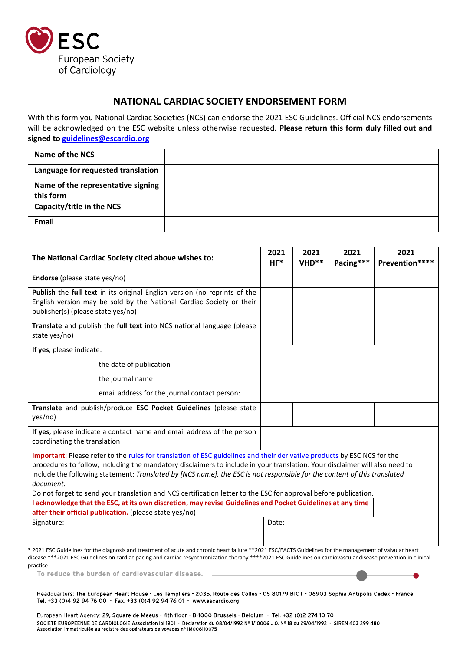

## **NATIONAL CARDIAC SOCIETY ENDORSEMENT FORM**

With this form you National Cardiac Societies (NCS) can endorse the 2021 ESC Guidelines. Official NCS endorsements will be acknowledged on the ESC website unless otherwise requested. **Please return this form duly filled out and signed t[o guidelines@escardio.org](mailto:guidelines@escardio.org)**

| Name of the NCS                    |  |
|------------------------------------|--|
| Language for requested translation |  |
| Name of the representative signing |  |
| this form                          |  |
| Capacity/title in the NCS          |  |
| <b>Email</b>                       |  |

| The National Cardiac Society cited above wishes to:                                                                                                                                                                                                                                                                                                                                                                                                                                                                                                                                                                              |       | 2021<br>VHD** | 2021<br>Pacing*** | 2021<br>Prevention**** |  |
|----------------------------------------------------------------------------------------------------------------------------------------------------------------------------------------------------------------------------------------------------------------------------------------------------------------------------------------------------------------------------------------------------------------------------------------------------------------------------------------------------------------------------------------------------------------------------------------------------------------------------------|-------|---------------|-------------------|------------------------|--|
| Endorse (please state yes/no)                                                                                                                                                                                                                                                                                                                                                                                                                                                                                                                                                                                                    |       |               |                   |                        |  |
| Publish the full text in its original English version (no reprints of the<br>English version may be sold by the National Cardiac Society or their<br>publisher(s) (please state yes/no)                                                                                                                                                                                                                                                                                                                                                                                                                                          |       |               |                   |                        |  |
| Translate and publish the full text into NCS national language (please<br>state yes/no)                                                                                                                                                                                                                                                                                                                                                                                                                                                                                                                                          |       |               |                   |                        |  |
| If yes, please indicate:                                                                                                                                                                                                                                                                                                                                                                                                                                                                                                                                                                                                         |       |               |                   |                        |  |
| the date of publication                                                                                                                                                                                                                                                                                                                                                                                                                                                                                                                                                                                                          |       |               |                   |                        |  |
| the journal name                                                                                                                                                                                                                                                                                                                                                                                                                                                                                                                                                                                                                 |       |               |                   |                        |  |
| email address for the journal contact person:                                                                                                                                                                                                                                                                                                                                                                                                                                                                                                                                                                                    |       |               |                   |                        |  |
| Translate and publish/produce ESC Pocket Guidelines (please state<br>yes/no)                                                                                                                                                                                                                                                                                                                                                                                                                                                                                                                                                     |       |               |                   |                        |  |
| If yes, please indicate a contact name and email address of the person<br>coordinating the translation                                                                                                                                                                                                                                                                                                                                                                                                                                                                                                                           |       |               |                   |                        |  |
| Important: Please refer to the rules for translation of ESC guidelines and their derivative products by ESC NCS for the<br>procedures to follow, including the mandatory disclaimers to include in your translation. Your disclaimer will also need to<br>include the following statement: Translated by [NCS name], the ESC is not responsible for the content of this translated<br>document.<br>Do not forget to send your translation and NCS certification letter to the ESC for approval before publication.<br>I acknowledge that the ESC, at its own discretion, may revise Guidelines and Pocket Guidelines at any time |       |               |                   |                        |  |
| after their official publication. (please state yes/no)                                                                                                                                                                                                                                                                                                                                                                                                                                                                                                                                                                          |       |               |                   |                        |  |
| Signature:                                                                                                                                                                                                                                                                                                                                                                                                                                                                                                                                                                                                                       | Date: |               |                   |                        |  |
| * 2021 ESC Guidelines for the diagnosis and treatment of acute and chronic heart failure **2021 ESC/EACTS Guidelines for the management of valvular heart<br>disease ***2021 ESC Guidelines on cardiac pacing and cardiac resynchronization therapy ****2021 ESC Guidelines on cardiovascular disease prevention in clinical<br>practice<br>To reduce the burden of cardiovascular disease.                                                                                                                                                                                                                                      |       |               |                   |                        |  |
| Headquarters: The European Heart House - Les Templiers - 2035, Route des Colles - CS 80179 BIOT - 06903 Sophia Antipolis Cedex - France                                                                                                                                                                                                                                                                                                                                                                                                                                                                                          |       |               |                   |                        |  |

Tel. +33 (0)4 92 94 76 00 - Fax. +33 (0)4 92 94 76 01 - www.escardio.org

European Heart Agency: 29, Square de Meeus - 4th floor - B-1000 Brussels - Belgium - Tel. +32 (0)2 274 10 70 SOCIETE EUROPEENNE DE CARDIOLOGIE Association loi 1901 - Déclaration du 08/04/1992 Nº 1/10006 J.O. Nº 18 du 29/04/1992 - SIREN 403 299 480 Association immatriculée au registre des opérateurs de voyages nº IM006110075